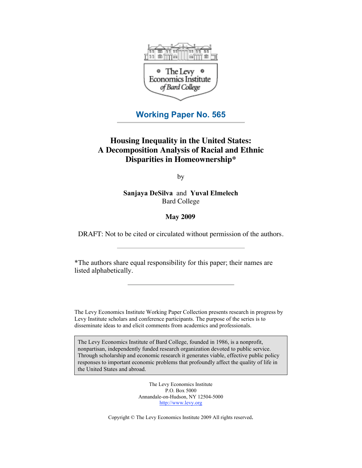

# **Working Paper No. 565**

# **Housing Inequality in the United States: A Decomposition Analysis of Racial and Ethnic Disparities in Homeownership\***

by

**Sanjaya DeSilva** and **Yuval Elmelech** Bard College

# **May 2009**

DRAFT: Not to be cited or circulated without permission of the authors.

\*The authors share equal responsibility for this paper; their names are listed alphabetically.

The Levy Economics Institute Working Paper Collection presents research in progress by Levy Institute scholars and conference participants. The purpose of the series is to disseminate ideas to and elicit comments from academics and professionals.

The Levy Economics Institute of Bard College, founded in 1986, is a nonprofit, nonpartisan, independently funded research organization devoted to public service. Through scholarship and economic research it generates viable, effective public policy responses to important economic problems that profoundly affect the quality of life in the United States and abroad.

> The Levy Economics Institute P.O. Box 5000 Annandale-on-Hudson, NY 12504-5000 http://www.levy.org

Copyright © The Levy Economics Institute 2009 All rights reserved.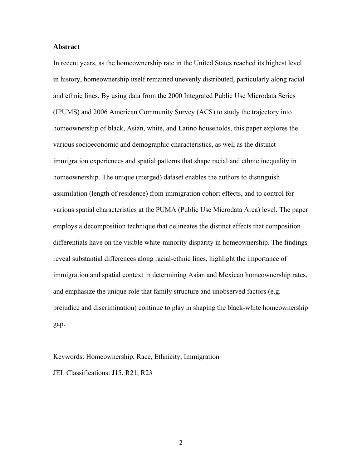#### **Abstract**

In recent years, as the homeownership rate in the United States reached its highest level in history, homeownership itself remained unevenly distributed, particularly along racial and ethnic lines. By using data from the 2000 Integrated Public Use Microdata Series (IPUMS) and 2006 American Community Survey (ACS) to study the trajectory into homeownership of black, Asian, white, and Latino households, this paper explores the various socioeconomic and demographic characteristics, as well as the distinct immigration experiences and spatial patterns that shape racial and ethnic inequality in homeownership. The unique (merged) dataset enables the authors to distinguish assimilation (length of residence) from immigration cohort effects, and to control for various spatial characteristics at the PUMA (Public Use Microdata Area) level. The paper employs a decomposition technique that delineates the distinct effects that composition differentials have on the visible white-minority disparity in homeownership. The findings reveal substantial differences along racial-ethnic lines, highlight the importance of immigration and spatial context in determining Asian and Mexican homeownership rates, and emphasize the unique role that family structure and unobserved factors (e.g. prejudice and discrimination) continue to play in shaping the black-white homeownership gap.

Keywords: Homeownership, Race, Ethnicity, Immigration JEL Classifications: J15, R21, R23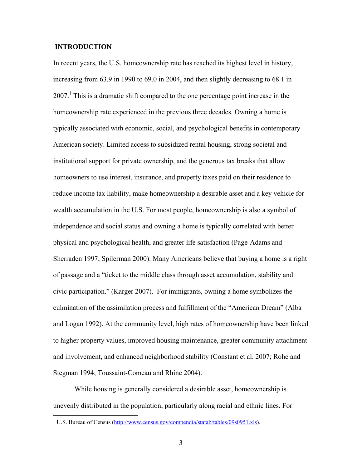### **INTRODUCTION**

 $\overline{a}$ 

In recent years, the U.S. homeownership rate has reached its highest level in history, increasing from 63.9 in 1990 to 69.0 in 2004, and then slightly decreasing to 68.1 in 2007.<sup>1</sup> This is a dramatic shift compared to the one percentage point increase in the homeownership rate experienced in the previous three decades. Owning a home is typically associated with economic, social, and psychological benefits in contemporary American society. Limited access to subsidized rental housing, strong societal and institutional support for private ownership, and the generous tax breaks that allow homeowners to use interest, insurance, and property taxes paid on their residence to reduce income tax liability, make homeownership a desirable asset and a key vehicle for wealth accumulation in the U.S. For most people, homeownership is also a symbol of independence and social status and owning a home is typically correlated with better physical and psychological health, and greater life satisfaction (Page-Adams and Sherraden 1997; Spilerman 2000). Many Americans believe that buying a home is a right of passage and a "ticket to the middle class through asset accumulation, stability and civic participation." (Karger 2007). For immigrants, owning a home symbolizes the culmination of the assimilation process and fulfillment of the "American Dream" (Alba and Logan 1992). At the community level, high rates of homeownership have been linked to higher property values, improved housing maintenance, greater community attachment and involvement, and enhanced neighborhood stability (Constant et al. 2007; Rohe and Stegman 1994; Toussaint-Comeau and Rhine 2004).

While housing is generally considered a desirable asset, homeownership is unevenly distributed in the population, particularly along racial and ethnic lines. For

<sup>&</sup>lt;sup>1</sup> U.S. Bureau of Census ( $\frac{http://www.census.gov/compendia/statab/tables/09s0951_xls}{}$ ).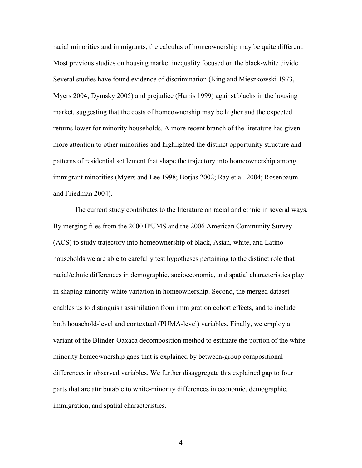racial minorities and immigrants, the calculus of homeownership may be quite different. Most previous studies on housing market inequality focused on the black-white divide. Several studies have found evidence of discrimination (King and Mieszkowski 1973, Myers 2004; Dymsky 2005) and prejudice (Harris 1999) against blacks in the housing market, suggesting that the costs of homeownership may be higher and the expected returns lower for minority households. A more recent branch of the literature has given more attention to other minorities and highlighted the distinct opportunity structure and patterns of residential settlement that shape the trajectory into homeownership among immigrant minorities (Myers and Lee 1998; Borjas 2002; Ray et al. 2004; Rosenbaum and Friedman 2004).

The current study contributes to the literature on racial and ethnic in several ways. By merging files from the 2000 IPUMS and the 2006 American Community Survey (ACS) to study trajectory into homeownership of black, Asian, white, and Latino households we are able to carefully test hypotheses pertaining to the distinct role that racial/ethnic differences in demographic, socioeconomic, and spatial characteristics play in shaping minority-white variation in homeownership. Second, the merged dataset enables us to distinguish assimilation from immigration cohort effects, and to include both household-level and contextual (PUMA-level) variables. Finally, we employ a variant of the Blinder-Oaxaca decomposition method to estimate the portion of the whiteminority homeownership gaps that is explained by between-group compositional differences in observed variables. We further disaggregate this explained gap to four parts that are attributable to white-minority differences in economic, demographic, immigration, and spatial characteristics.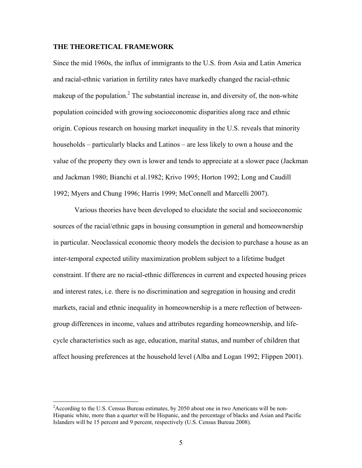#### **THE THEORETICAL FRAMEWORK**

Since the mid 1960s, the influx of immigrants to the U.S. from Asia and Latin America and racial-ethnic variation in fertility rates have markedly changed the racial-ethnic makeup of the population.<sup>2</sup> The substantial increase in, and diversity of, the non-white population coincided with growing socioeconomic disparities along race and ethnic origin. Copious research on housing market inequality in the U.S. reveals that minority households – particularly blacks and Latinos – are less likely to own a house and the value of the property they own is lower and tends to appreciate at a slower pace (Jackman and Jackman 1980; Bianchi et al.1982; Krivo 1995; Horton 1992; Long and Caudill 1992; Myers and Chung 1996; Harris 1999; McConnell and Marcelli 2007).

Various theories have been developed to elucidate the social and socioeconomic sources of the racial/ethnic gaps in housing consumption in general and homeownership in particular. Neoclassical economic theory models the decision to purchase a house as an inter-temporal expected utility maximization problem subject to a lifetime budget constraint. If there are no racial-ethnic differences in current and expected housing prices and interest rates, i.e. there is no discrimination and segregation in housing and credit markets, racial and ethnic inequality in homeownership is a mere reflection of betweengroup differences in income, values and attributes regarding homeownership, and lifecycle characteristics such as age, education, marital status, and number of children that affect housing preferences at the household level (Alba and Logan 1992; Flippen 2001).

 $\overline{a}$ 

 $2^2$ According to the U.S. Census Bureau estimates, by 2050 about one in two Americans will be non-Hispanic white, more than a quarter will be Hispanic, and the percentage of blacks and Asian and Pacific Islanders will be 15 percent and 9 percent, respectively (U.S. Census Bureau 2008).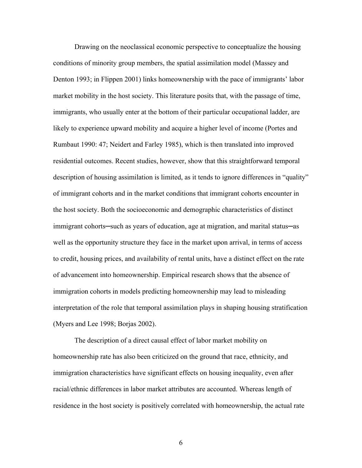Drawing on the neoclassical economic perspective to conceptualize the housing conditions of minority group members, the spatial assimilation model (Massey and Denton 1993; in Flippen 2001) links homeownership with the pace of immigrants' labor market mobility in the host society. This literature posits that, with the passage of time, immigrants, who usually enter at the bottom of their particular occupational ladder, are likely to experience upward mobility and acquire a higher level of income (Portes and Rumbaut 1990: 47; Neidert and Farley 1985), which is then translated into improved residential outcomes. Recent studies, however, show that this straightforward temporal description of housing assimilation is limited, as it tends to ignore differences in "quality" of immigrant cohorts and in the market conditions that immigrant cohorts encounter in the host society. Both the socioeconomic and demographic characteristics of distinct immigrant cohorts─such as years of education, age at migration, and marital status─as well as the opportunity structure they face in the market upon arrival, in terms of access to credit, housing prices, and availability of rental units, have a distinct effect on the rate of advancement into homeownership. Empirical research shows that the absence of immigration cohorts in models predicting homeownership may lead to misleading interpretation of the role that temporal assimilation plays in shaping housing stratification (Myers and Lee 1998; Borjas 2002).

The description of a direct causal effect of labor market mobility on homeownership rate has also been criticized on the ground that race, ethnicity, and immigration characteristics have significant effects on housing inequality, even after racial/ethnic differences in labor market attributes are accounted. Whereas length of residence in the host society is positively correlated with homeownership, the actual rate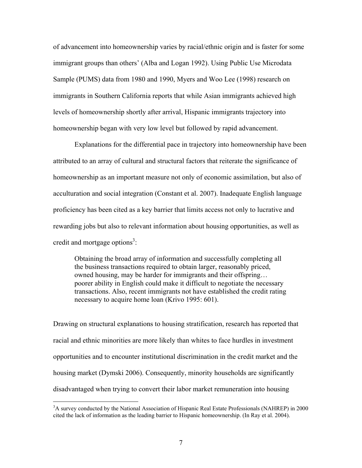of advancement into homeownership varies by racial/ethnic origin and is faster for some immigrant groups than others' (Alba and Logan 1992). Using Public Use Microdata Sample (PUMS) data from 1980 and 1990, Myers and Woo Lee (1998) research on immigrants in Southern California reports that while Asian immigrants achieved high levels of homeownership shortly after arrival, Hispanic immigrants trajectory into homeownership began with very low level but followed by rapid advancement.

Explanations for the differential pace in trajectory into homeownership have been attributed to an array of cultural and structural factors that reiterate the significance of homeownership as an important measure not only of economic assimilation, but also of acculturation and social integration (Constant et al. 2007). Inadequate English language proficiency has been cited as a key barrier that limits access not only to lucrative and rewarding jobs but also to relevant information about housing opportunities, as well as credit and mortgage options<sup>3</sup>:

Obtaining the broad array of information and successfully completing all the business transactions required to obtain larger, reasonably priced, owned housing, may be harder for immigrants and their offspring… poorer ability in English could make it difficult to negotiate the necessary transactions. Also, recent immigrants not have established the credit rating necessary to acquire home loan (Krivo 1995: 601).

Drawing on structural explanations to housing stratification, research has reported that racial and ethnic minorities are more likely than whites to face hurdles in investment opportunities and to encounter institutional discrimination in the credit market and the housing market (Dymski 2006). Consequently, minority households are significantly disadvantaged when trying to convert their labor market remuneration into housing

 $\overline{a}$ 

<sup>&</sup>lt;sup>3</sup>A survey conducted by the National Association of Hispanic Real Estate Professionals (NAHREP) in 2000 cited the lack of information as the leading barrier to Hispanic homeownership. (In Ray et al. 2004).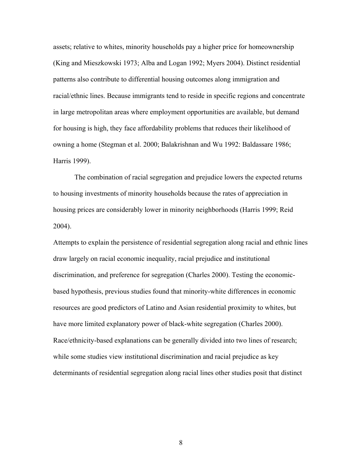assets; relative to whites, minority households pay a higher price for homeownership (King and Mieszkowski 1973; Alba and Logan 1992; Myers 2004). Distinct residential patterns also contribute to differential housing outcomes along immigration and racial/ethnic lines. Because immigrants tend to reside in specific regions and concentrate in large metropolitan areas where employment opportunities are available, but demand for housing is high, they face affordability problems that reduces their likelihood of owning a home (Stegman et al. 2000; Balakrishnan and Wu 1992: Baldassare 1986; Harris 1999).

The combination of racial segregation and prejudice lowers the expected returns to housing investments of minority households because the rates of appreciation in housing prices are considerably lower in minority neighborhoods (Harris 1999; Reid 2004).

Attempts to explain the persistence of residential segregation along racial and ethnic lines draw largely on racial economic inequality, racial prejudice and institutional discrimination, and preference for segregation (Charles 2000). Testing the economicbased hypothesis, previous studies found that minority-white differences in economic resources are good predictors of Latino and Asian residential proximity to whites, but have more limited explanatory power of black-white segregation (Charles 2000). Race/ethnicity-based explanations can be generally divided into two lines of research; while some studies view institutional discrimination and racial prejudice as key determinants of residential segregation along racial lines other studies posit that distinct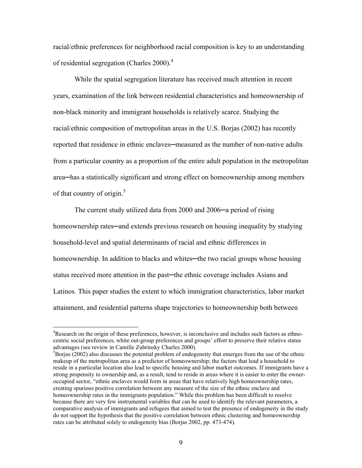racial/ethnic preferences for neighborhood racial composition is key to an understanding of residential segregation (Charles 2000).<sup>4</sup>

While the spatial segregation literature has received much attention in recent years, examination of the link between residential characteristics and homeownership of non-black minority and immigrant households is relatively scarce. Studying the racial/ethnic composition of metropolitan areas in the U.S. Borjas (2002) has recently reported that residence in ethnic enclaves—measured as the number of non-native adults from a particular country as a proportion of the entire adult population in the metropolitan area─has a statistically significant and strong effect on homeownership among members of that country of origin.<sup>5</sup>

The current study utilized data from 2000 and 2006—a period of rising homeownership rates—and extends previous research on housing inequality by studying household-level and spatial determinants of racial and ethnic differences in homeownership. In addition to blacks and whites—the two racial groups whose housing status received more attention in the past—the ethnic coverage includes Asians and Latinos. This paper studies the extent to which immigration characteristics, labor market attainment, and residential patterns shape trajectories to homeownership both between

 $\overline{a}$ 

<sup>&</sup>lt;sup>4</sup>Research on the origin of these preferences, however, is inconclusive and includes such factors as ethnocentric social preferences, white out-group preferences and groups' effort to preserve their relative status advantages (see review in Camille Zubrinsky Charles 2000).

<sup>&</sup>lt;sup>5</sup>Borjas (2002) also discusses the potential problem of endogeneity that emerges from the use of the ethnic makeup of the metropolitan area as a predictor of homeownership; the factors that lead a household to reside in a particular location also lead to specific housing and labor market outcomes. If immigrants have a strong propensity to ownership and, as a result, tend to reside in areas where it is easier to enter the owneroccupied sector, "ethnic enclaves would form in areas that have relatively high homeownership rates, creating spurious positive correlation between any measure of the size of the ethnic enclave and homeownership rates in the immigrants population." While this problem has been difficult to resolve because there are very few instrumental variables that can be used to identify the relevant parameters, a comparative analysis of immigrants and refugees that aimed to test the presence of endogeneity in the study do not support the hypothesis that the positive correlation between ethnic clustering and homeownership rates can be attributed solely to endogeneity bias (Borjas 2002, pp. 473-474).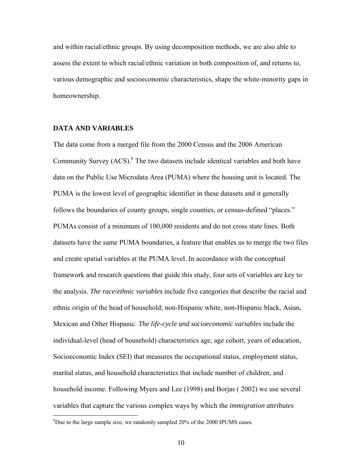and within racial/ethnic groups. By using decomposition methods, we are also able to assess the extent to which racial/ethnic variation in both composition of, and returns to, various demographic and socioeconomic characteristics, shape the white-minority gaps in homeownership.

### **DATA AND VARIABLES**

 $\overline{a}$ 

The data come from a merged file from the 2000 Census and the 2006 American Community Survey  $(ACS)$ . <sup>6</sup> The two datasets include identical variables and both have data on the Public Use Microdata Area (PUMA) where the housing unit is located. The PUMA is the lowest level of geographic identifier in these datasets and it generally follows the boundaries of county groups, single counties, or census-defined "places." PUMAs consist of a minimum of 100,000 residents and do not cross state lines. Both datasets have the same PUMA boundaries, a feature that enables us to merge the two files and create spatial variables at the PUMA level. In accordance with the conceptual framework and research questions that guide this study, four sets of variables are key to the analysis. *The race/ethnic variables* include five categories that describe the racial and ethnic origin of the head of household; non-Hispanic white, non-Hispanic black, Asian, Mexican and Other Hispanic. *The life-cycle and socioeconomic variables* include the individual-level (head of household) characteristics age, age cohort, years of education, Socioeconomic Index (SEI) that measures the occupational status, employment status, marital status, and household characteristics that include number of children, and household income. Following Myers and Lee (1998) and Borjas ( 2002) we use several variables that capture the various complex ways by which the *immigration attributes*

<sup>&</sup>lt;sup>6</sup>Due to the large sample size, we randomly sampled 20% of the 2000 IPUMS cases.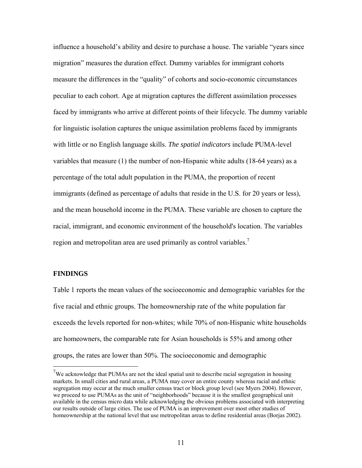influence a household's ability and desire to purchase a house. The variable "years since migration" measures the duration effect. Dummy variables for immigrant cohorts measure the differences in the "quality" of cohorts and socio-economic circumstances peculiar to each cohort. Age at migration captures the different assimilation processes faced by immigrants who arrive at different points of their lifecycle. The dummy variable for linguistic isolation captures the unique assimilation problems faced by immigrants with little or no English language skills. *The spatial indicators* include PUMA-level variables that measure (1) the number of non-Hispanic white adults (18-64 years) as a percentage of the total adult population in the PUMA, the proportion of recent immigrants (defined as percentage of adults that reside in the U.S. for 20 years or less), and the mean household income in the PUMA. These variable are chosen to capture the racial, immigrant, and economic environment of the household's location. The variables region and metropolitan area are used primarily as control variables.<sup>7</sup>

### **FINDINGS**

 $\overline{a}$ 

Table 1 reports the mean values of the socioeconomic and demographic variables for the five racial and ethnic groups. The homeownership rate of the white population far exceeds the levels reported for non-whites; while 70% of non-Hispanic white households are homeowners, the comparable rate for Asian households is 55% and among other groups, the rates are lower than 50%. The socioeconomic and demographic

<sup>&</sup>lt;sup>7</sup>We acknowledge that PUMAs are not the ideal spatial unit to describe racial segregation in housing markets. In small cities and rural areas, a PUMA may cover an entire county whereas racial and ethnic segregation may occur at the much smaller census tract or block group level (see Myers 2004). However, we proceed to use PUMAs as the unit of "neighborhoods" because it is the smallest geographical unit available in the census micro data while acknowledging the obvious problems associated with interpreting our results outside of large cities. The use of PUMA is an improvement over most other studies of homeownership at the national level that use metropolitan areas to define residential areas (Borjas 2002).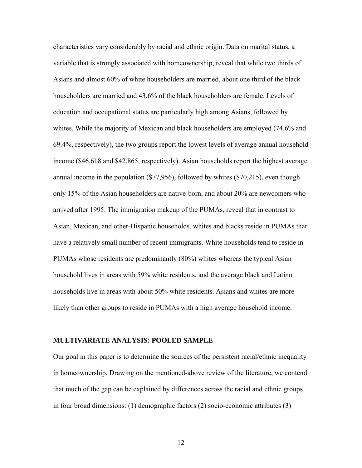characteristics vary considerably by racial and ethnic origin. Data on marital status, a variable that is strongly associated with homeownership, reveal that while two thirds of Asians and almost 60% of white householders are married, about one third of the black householders are married and 43.6% of the black householders are female. Levels of education and occupational status are particularly high among Asians, followed by whites. While the majority of Mexican and black householders are employed (74.6% and 69.4%, respectively), the two groups report the lowest levels of average annual household income (\$46,618 and \$42,865, respectively). Asian households report the highest average annual income in the population (\$77,956), followed by whites (\$70,215), even though only 15% of the Asian householders are native-born, and about 20% are newcomers who arrived after 1995. The immigration makeup of the PUMAs, reveal that in contrast to Asian, Mexican, and other-Hispanic households, whites and blacks reside in PUMAs that have a relatively small number of recent immigrants. White households tend to reside in PUMAs whose residents are predominantly (80%) whites whereas the typical Asian household lives in areas with 59% white residents, and the average black and Latino households live in areas with about 50% white residents. Asians and whites are more likely than other groups to reside in PUMAs with a high average household income.

#### **MULTIVARIATE ANALYSIS: POOLED SAMPLE**

Our goal in this paper is to determine the sources of the persistent racial/ethnic inequality in homeownership. Drawing on the mentioned-above review of the literature, we contend that much of the gap can be explained by differences across the racial and ethnic groups in four broad dimensions: (1) demographic factors (2) socio-economic attributes (3)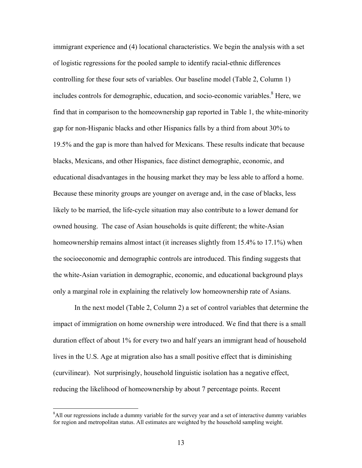immigrant experience and (4) locational characteristics. We begin the analysis with a set of logistic regressions for the pooled sample to identify racial-ethnic differences controlling for these four sets of variables. Our baseline model (Table 2, Column 1) includes controls for demographic, education, and socio-economic variables.<sup>8</sup> Here, we find that in comparison to the homeownership gap reported in Table 1, the white-minority gap for non-Hispanic blacks and other Hispanics falls by a third from about 30% to 19.5% and the gap is more than halved for Mexicans. These results indicate that because blacks, Mexicans, and other Hispanics, face distinct demographic, economic, and educational disadvantages in the housing market they may be less able to afford a home. Because these minority groups are younger on average and, in the case of blacks, less likely to be married, the life-cycle situation may also contribute to a lower demand for owned housing. The case of Asian households is quite different; the white-Asian homeownership remains almost intact (it increases slightly from 15.4% to 17.1%) when the socioeconomic and demographic controls are introduced. This finding suggests that the white-Asian variation in demographic, economic, and educational background plays only a marginal role in explaining the relatively low homeownership rate of Asians.

In the next model (Table 2, Column 2) a set of control variables that determine the impact of immigration on home ownership were introduced. We find that there is a small duration effect of about 1% for every two and half years an immigrant head of household lives in the U.S. Age at migration also has a small positive effect that is diminishing (curvilinear). Not surprisingly, household linguistic isolation has a negative effect, reducing the likelihood of homeownership by about 7 percentage points. Recent

<sup>&</sup>lt;sup>8</sup>All our regressions include a dummy variable for the survey year and a set of interactive dummy variables for region and metropolitan status. All estimates are weighted by the household sampling weight.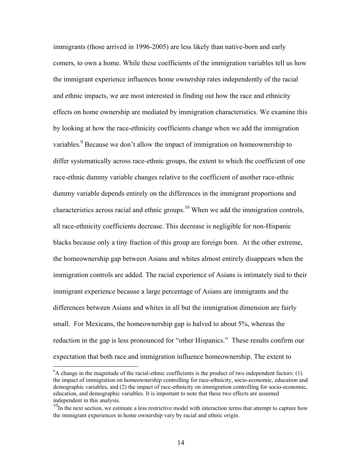immigrants (those arrived in 1996-2005) are less likely than native-born and early comers, to own a home. While these coefficients of the immigration variables tell us how the immigrant experience influences home ownership rates independently of the racial and ethnic impacts, we are most interested in finding out how the race and ethnicity effects on home ownership are mediated by immigration characteristics. We examine this by looking at how the race-ethnicity coefficients change when we add the immigration variables.<sup>9</sup> Because we don't allow the impact of immigration on homeownership to differ systematically across race-ethnic groups, the extent to which the coefficient of one race-ethnic dummy variable changes relative to the coefficient of another race-ethnic dummy variable depends entirely on the differences in the immigrant proportions and characteristics across racial and ethnic groups.<sup>10</sup> When we add the immigration controls, all race-ethnicity coefficients decrease. This decrease is negligible for non-Hispanic blacks because only a tiny fraction of this group are foreign born. At the other extreme, the homeownership gap between Asians and whites almost entirely disappears when the immigration controls are added. The racial experience of Asians is intimately tied to their immigrant experience because a large percentage of Asians are immigrants and the differences between Asians and whites in all but the immigration dimension are fairly small. For Mexicans, the homeownership gap is halved to about 5%, whereas the reduction in the gap is less pronounced for "other Hispanics." These results confirm our expectation that both race and immigration influence homeownership. The extent to

 $\overline{a}$ 

 $9^9$ A change in the magnitude of the racial-ethnic coefficients is the product of two independent factors: (1) the impact of immigration on homeownership controlling for race-ethnicity, socio-economic, education and demographic variables, and (2) the impact of race-ethnicity on immigration controlling for socio-economic, education, and demographic variables. It is important to note that these two effects are assumed independent in this analysis.

<sup>&</sup>lt;sup>10</sup>In the next section, we estimate a less restrictive model with interaction terms that attempt to capture how the immigrant experiences in home ownership vary by racial and ethnic origin.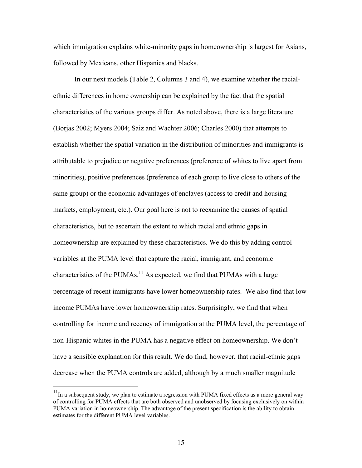which immigration explains white-minority gaps in homeownership is largest for Asians, followed by Mexicans, other Hispanics and blacks.

In our next models (Table 2, Columns 3 and 4), we examine whether the racialethnic differences in home ownership can be explained by the fact that the spatial characteristics of the various groups differ. As noted above, there is a large literature (Borjas 2002; Myers 2004; Saiz and Wachter 2006; Charles 2000) that attempts to establish whether the spatial variation in the distribution of minorities and immigrants is attributable to prejudice or negative preferences (preference of whites to live apart from minorities), positive preferences (preference of each group to live close to others of the same group) or the economic advantages of enclaves (access to credit and housing markets, employment, etc.). Our goal here is not to reexamine the causes of spatial characteristics, but to ascertain the extent to which racial and ethnic gaps in homeownership are explained by these characteristics. We do this by adding control variables at the PUMA level that capture the racial, immigrant, and economic characteristics of the PUMAs.<sup>11</sup> As expected, we find that PUMAs with a large percentage of recent immigrants have lower homeownership rates. We also find that low income PUMAs have lower homeownership rates. Surprisingly, we find that when controlling for income and recency of immigration at the PUMA level, the percentage of non-Hispanic whites in the PUMA has a negative effect on homeownership. We don't have a sensible explanation for this result. We do find, however, that racial-ethnic gaps decrease when the PUMA controls are added, although by a much smaller magnitude

 $\overline{a}$ 

 $11$ In a subsequent study, we plan to estimate a regression with PUMA fixed effects as a more general way of controlling for PUMA effects that are both observed and unobserved by focusing exclusively on within PUMA variation in homeownership. The advantage of the present specification is the ability to obtain estimates for the different PUMA level variables.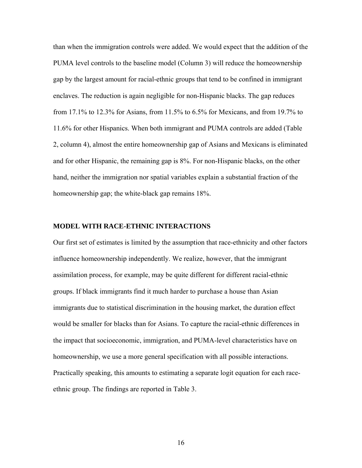than when the immigration controls were added. We would expect that the addition of the PUMA level controls to the baseline model (Column 3) will reduce the homeownership gap by the largest amount for racial-ethnic groups that tend to be confined in immigrant enclaves. The reduction is again negligible for non-Hispanic blacks. The gap reduces from 17.1% to 12.3% for Asians, from 11.5% to 6.5% for Mexicans, and from 19.7% to 11.6% for other Hispanics. When both immigrant and PUMA controls are added (Table 2, column 4), almost the entire homeownership gap of Asians and Mexicans is eliminated and for other Hispanic, the remaining gap is 8%. For non-Hispanic blacks, on the other hand, neither the immigration nor spatial variables explain a substantial fraction of the homeownership gap; the white-black gap remains 18%.

### **MODEL WITH RACE-ETHNIC INTERACTIONS**

Our first set of estimates is limited by the assumption that race-ethnicity and other factors influence homeownership independently. We realize, however, that the immigrant assimilation process, for example, may be quite different for different racial-ethnic groups. If black immigrants find it much harder to purchase a house than Asian immigrants due to statistical discrimination in the housing market, the duration effect would be smaller for blacks than for Asians. To capture the racial-ethnic differences in the impact that socioeconomic, immigration, and PUMA-level characteristics have on homeownership, we use a more general specification with all possible interactions. Practically speaking, this amounts to estimating a separate logit equation for each raceethnic group. The findings are reported in Table 3.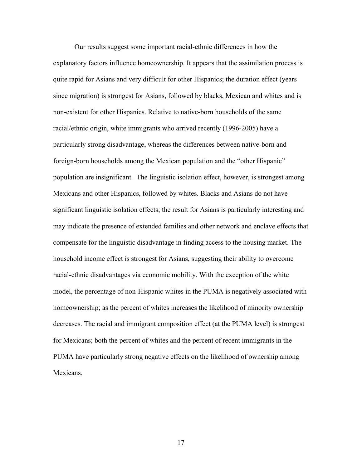Our results suggest some important racial-ethnic differences in how the explanatory factors influence homeownership. It appears that the assimilation process is quite rapid for Asians and very difficult for other Hispanics; the duration effect (years since migration) is strongest for Asians, followed by blacks, Mexican and whites and is non-existent for other Hispanics. Relative to native-born households of the same racial/ethnic origin, white immigrants who arrived recently (1996-2005) have a particularly strong disadvantage, whereas the differences between native-born and foreign-born households among the Mexican population and the "other Hispanic" population are insignificant. The linguistic isolation effect, however, is strongest among Mexicans and other Hispanics, followed by whites. Blacks and Asians do not have significant linguistic isolation effects; the result for Asians is particularly interesting and may indicate the presence of extended families and other network and enclave effects that compensate for the linguistic disadvantage in finding access to the housing market. The household income effect is strongest for Asians, suggesting their ability to overcome racial-ethnic disadvantages via economic mobility. With the exception of the white model, the percentage of non-Hispanic whites in the PUMA is negatively associated with homeownership; as the percent of whites increases the likelihood of minority ownership decreases. The racial and immigrant composition effect (at the PUMA level) is strongest for Mexicans; both the percent of whites and the percent of recent immigrants in the PUMA have particularly strong negative effects on the likelihood of ownership among Mexicans.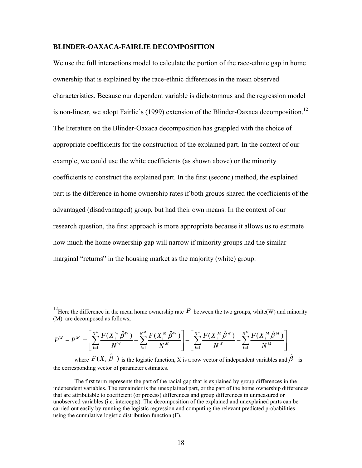#### **BLINDER-OAXACA-FAIRLIE DECOMPOSITION**

We use the full interactions model to calculate the portion of the race-ethnic gap in home ownership that is explained by the race-ethnic differences in the mean observed characteristics. Because our dependent variable is dichotomous and the regression model is non-linear, we adopt Fairlie's  $(1999)$  extension of the Blinder-Oaxaca decomposition.<sup>12</sup> The literature on the Blinder-Oaxaca decomposition has grappled with the choice of appropriate coefficients for the construction of the explained part. In the context of our example, we could use the white coefficients (as shown above) or the minority coefficients to construct the explained part. In the first (second) method, the explained part is the difference in home ownership rates if both groups shared the coefficients of the advantaged (disadvantaged) group, but had their own means. In the context of our research question, the first approach is more appropriate because it allows us to estimate how much the home ownership gap will narrow if minority groups had the similar marginal "returns" in the housing market as the majority (white) group.

$$
P^{W} - P^{M} = \left[ \sum_{i=1}^{N^{W}} \frac{F(X_{i}^{W} \hat{\beta}^{W})}{N^{W}} - \sum_{i=1}^{N^{M}} \frac{F(X_{i}^{M} \hat{\beta}^{W})}{N^{M}} \right] - \left[ \sum_{i=1}^{N^{W}} \frac{F(X_{i}^{M} \hat{\beta}^{W})}{N^{W}} - \sum_{i=1}^{N^{M}} \frac{F(X_{i}^{M} \hat{\beta}^{M})}{N^{M}} \right]
$$

 $\overline{a}$ 

where  $F(X_i \hat{\beta})$  is the logistic function, X is a row vector of independent variables and  $\hat{\beta}$  is the corresponding vector of parameter estimates.

<sup>&</sup>lt;sup>12</sup>Here the difference in the mean home ownership rate  $P$  between the two groups, white(W) and minority (M) are decomposed as follows;

The first term represents the part of the racial gap that is explained by group differences in the independent variables. The remainder is the unexplained part, or the part of the home ownership differences that are attributable to coefficient (or process) differences and group differences in unmeasured or unobserved variables (i.e. intercepts). The decomposition of the explained and unexplained parts can be carried out easily by running the logistic regression and computing the relevant predicted probabilities using the cumulative logistic distribution function (F).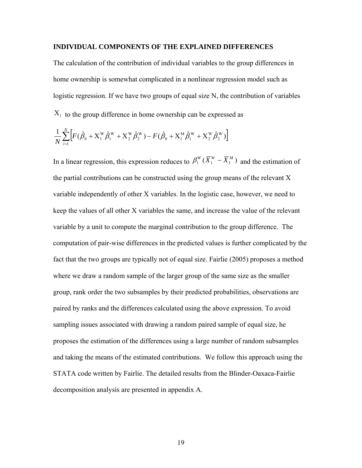#### **INDIVIDUAL COMPONENTS OF THE EXPLAINED DIFFERENCES**

The calculation of the contribution of individual variables to the group differences in home ownership is somewhat complicated in a nonlinear regression model such as logistic regression. If we have two groups of equal size N, the contribution of variables  $X_1$  to the group difference in home ownership can be expressed as

$$
\frac{1}{N} \sum_{i=1}^{N} \Big[ F(\hat{\beta}_0 + X_1^{\text{W}} \hat{\beta}_1^{\text{W}} + X_2^{\text{W}} \hat{\beta}_2^{\text{W}}) - F(\hat{\beta}_0 + X_1^{\text{M}} \hat{\beta}_1^{\text{W}} + X_2^{\text{W}} \hat{\beta}_2^{\text{W}}) \Big]
$$

In a linear regression, this expression reduces to  $\beta_1^W (\overline{X}_1^W - \overline{X}_1^M)$  and the estimation of the partial contributions can be constructed using the group means of the relevant X variable independently of other X variables. In the logistic case, however, we need to keep the values of all other X variables the same, and increase the value of the relevant variable by a unit to compute the marginal contribution to the group difference. The computation of pair-wise differences in the predicted values is further complicated by the fact that the two groups are typically not of equal size. Fairlie (2005) proposes a method where we draw a random sample of the larger group of the same size as the smaller group, rank order the two subsamples by their predicted probabilities, observations are paired by ranks and the differences calculated using the above expression. To avoid sampling issues associated with drawing a random paired sample of equal size, he proposes the estimation of the differences using a large number of random subsamples and taking the means of the estimated contributions. We follow this approach using the STATA code written by Fairlie. The detailed results from the Blinder-Oaxaca-Fairlie decomposition analysis are presented in appendix A.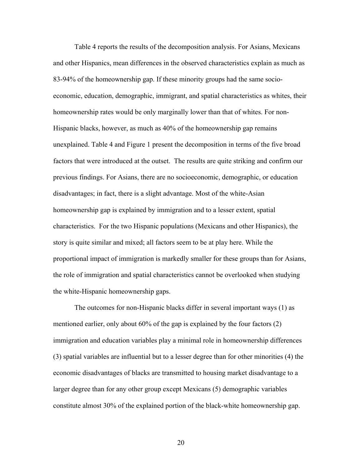Table 4 reports the results of the decomposition analysis. For Asians, Mexicans and other Hispanics, mean differences in the observed characteristics explain as much as 83-94% of the homeownership gap. If these minority groups had the same socioeconomic, education, demographic, immigrant, and spatial characteristics as whites, their homeownership rates would be only marginally lower than that of whites. For non-Hispanic blacks, however, as much as 40% of the homeownership gap remains unexplained. Table 4 and Figure 1 present the decomposition in terms of the five broad factors that were introduced at the outset. The results are quite striking and confirm our previous findings. For Asians, there are no socioeconomic, demographic, or education disadvantages; in fact, there is a slight advantage. Most of the white-Asian homeownership gap is explained by immigration and to a lesser extent, spatial characteristics. For the two Hispanic populations (Mexicans and other Hispanics), the story is quite similar and mixed; all factors seem to be at play here. While the proportional impact of immigration is markedly smaller for these groups than for Asians, the role of immigration and spatial characteristics cannot be overlooked when studying the white-Hispanic homeownership gaps.

The outcomes for non-Hispanic blacks differ in several important ways (1) as mentioned earlier, only about 60% of the gap is explained by the four factors (2) immigration and education variables play a minimal role in homeownership differences (3) spatial variables are influential but to a lesser degree than for other minorities (4) the economic disadvantages of blacks are transmitted to housing market disadvantage to a larger degree than for any other group except Mexicans (5) demographic variables constitute almost 30% of the explained portion of the black-white homeownership gap.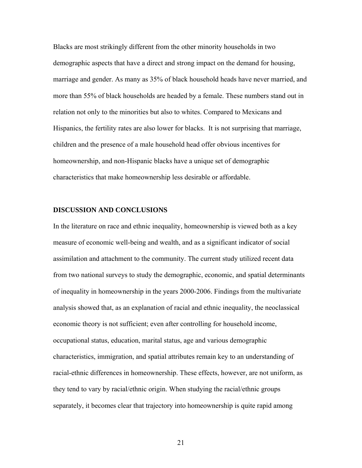Blacks are most strikingly different from the other minority households in two demographic aspects that have a direct and strong impact on the demand for housing, marriage and gender. As many as 35% of black household heads have never married, and more than 55% of black households are headed by a female. These numbers stand out in relation not only to the minorities but also to whites. Compared to Mexicans and Hispanics, the fertility rates are also lower for blacks. It is not surprising that marriage, children and the presence of a male household head offer obvious incentives for homeownership, and non-Hispanic blacks have a unique set of demographic characteristics that make homeownership less desirable or affordable.

#### **DISCUSSION AND CONCLUSIONS**

In the literature on race and ethnic inequality, homeownership is viewed both as a key measure of economic well-being and wealth, and as a significant indicator of social assimilation and attachment to the community. The current study utilized recent data from two national surveys to study the demographic, economic, and spatial determinants of inequality in homeownership in the years 2000-2006. Findings from the multivariate analysis showed that, as an explanation of racial and ethnic inequality, the neoclassical economic theory is not sufficient; even after controlling for household income, occupational status, education, marital status, age and various demographic characteristics, immigration, and spatial attributes remain key to an understanding of racial-ethnic differences in homeownership. These effects, however, are not uniform, as they tend to vary by racial/ethnic origin. When studying the racial/ethnic groups separately, it becomes clear that trajectory into homeownership is quite rapid among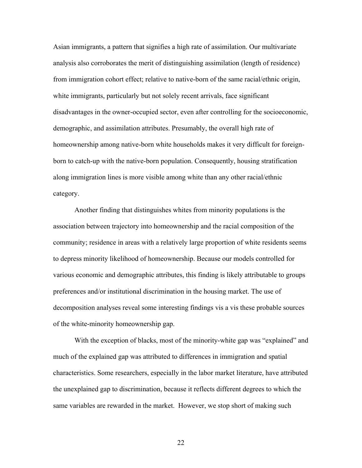Asian immigrants, a pattern that signifies a high rate of assimilation. Our multivariate analysis also corroborates the merit of distinguishing assimilation (length of residence) from immigration cohort effect; relative to native-born of the same racial/ethnic origin, white immigrants, particularly but not solely recent arrivals, face significant disadvantages in the owner-occupied sector, even after controlling for the socioeconomic, demographic, and assimilation attributes. Presumably, the overall high rate of homeownership among native-born white households makes it very difficult for foreignborn to catch-up with the native-born population. Consequently, housing stratification along immigration lines is more visible among white than any other racial/ethnic category.

Another finding that distinguishes whites from minority populations is the association between trajectory into homeownership and the racial composition of the community; residence in areas with a relatively large proportion of white residents seems to depress minority likelihood of homeownership. Because our models controlled for various economic and demographic attributes, this finding is likely attributable to groups preferences and/or institutional discrimination in the housing market. The use of decomposition analyses reveal some interesting findings vis a vis these probable sources of the white-minority homeownership gap.

With the exception of blacks, most of the minority-white gap was "explained" and much of the explained gap was attributed to differences in immigration and spatial characteristics. Some researchers, especially in the labor market literature, have attributed the unexplained gap to discrimination, because it reflects different degrees to which the same variables are rewarded in the market. However, we stop short of making such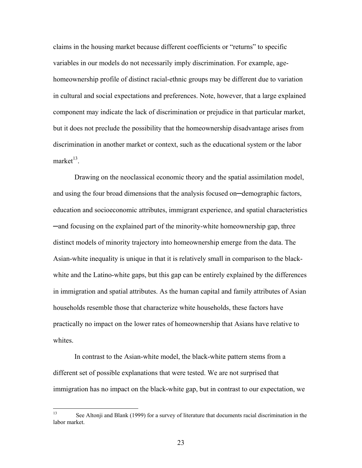claims in the housing market because different coefficients or "returns" to specific variables in our models do not necessarily imply discrimination. For example, agehomeownership profile of distinct racial-ethnic groups may be different due to variation in cultural and social expectations and preferences. Note, however, that a large explained component may indicate the lack of discrimination or prejudice in that particular market, but it does not preclude the possibility that the homeownership disadvantage arises from discrimination in another market or context, such as the educational system or the labor market $^{13}$ 

Drawing on the neoclassical economic theory and the spatial assimilation model, and using the four broad dimensions that the analysis focused on─demographic factors, education and socioeconomic attributes, immigrant experience, and spatial characteristics ─and focusing on the explained part of the minority-white homeownership gap, three distinct models of minority trajectory into homeownership emerge from the data. The Asian-white inequality is unique in that it is relatively small in comparison to the blackwhite and the Latino-white gaps, but this gap can be entirely explained by the differences in immigration and spatial attributes. As the human capital and family attributes of Asian households resemble those that characterize white households, these factors have practically no impact on the lower rates of homeownership that Asians have relative to whites

In contrast to the Asian-white model, the black-white pattern stems from a different set of possible explanations that were tested. We are not surprised that immigration has no impact on the black-white gap, but in contrast to our expectation, we

 $13$ See Altonji and Blank (1999) for a survey of literature that documents racial discrimination in the labor market.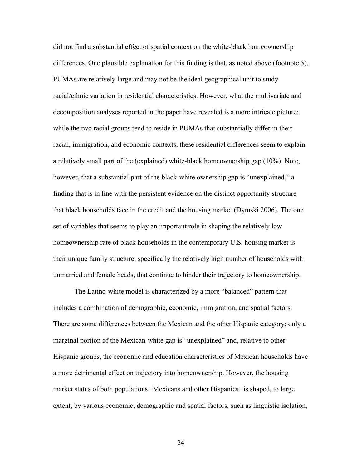did not find a substantial effect of spatial context on the white-black homeownership differences. One plausible explanation for this finding is that, as noted above (footnote 5), PUMAs are relatively large and may not be the ideal geographical unit to study racial/ethnic variation in residential characteristics. However, what the multivariate and decomposition analyses reported in the paper have revealed is a more intricate picture: while the two racial groups tend to reside in PUMAs that substantially differ in their racial, immigration, and economic contexts, these residential differences seem to explain a relatively small part of the (explained) white-black homeownership gap (10%). Note, however, that a substantial part of the black-white ownership gap is "unexplained," a finding that is in line with the persistent evidence on the distinct opportunity structure that black households face in the credit and the housing market (Dymski 2006). The one set of variables that seems to play an important role in shaping the relatively low homeownership rate of black households in the contemporary U.S. housing market is their unique family structure, specifically the relatively high number of households with unmarried and female heads, that continue to hinder their trajectory to homeownership.

The Latino-white model is characterized by a more "balanced" pattern that includes a combination of demographic, economic, immigration, and spatial factors. There are some differences between the Mexican and the other Hispanic category; only a marginal portion of the Mexican-white gap is "unexplained" and, relative to other Hispanic groups, the economic and education characteristics of Mexican households have a more detrimental effect on trajectory into homeownership. However, the housing market status of both populations—Mexicans and other Hispanics—is shaped, to large extent, by various economic, demographic and spatial factors, such as linguistic isolation,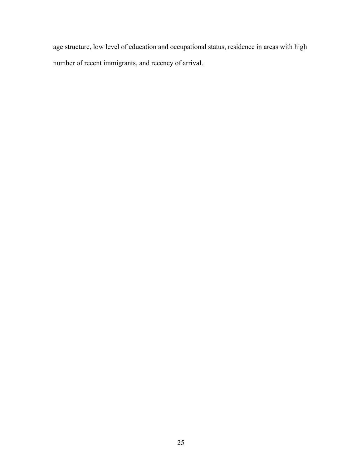age structure, low level of education and occupational status, residence in areas with high number of recent immigrants, and recency of arrival.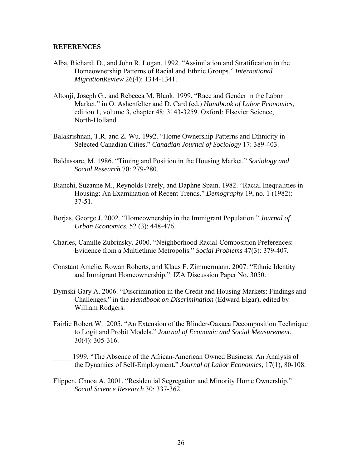#### **REFERENCES**

- Alba, Richard. D., and John R. Logan. 1992. "Assimilation and Stratification in the Homeownership Patterns of Racial and Ethnic Groups." *International MigrationReview* 26(4): 1314-1341.
- Altonji, Joseph G., and Rebecca M. Blank. 1999. "Race and Gender in the Labor Market." in O. Ashenfelter and D. Card (ed.) *Handbook of Labor Economics*, edition 1, volume 3, chapter 48: 3143-3259. Oxford: Elsevier Science, North-Holland.
- Balakrishnan, T.R. and Z. Wu. 1992. "Home Ownership Patterns and Ethnicity in Selected Canadian Cities." *Canadian Journal of Sociology* 17: 389-403.
- Baldassare, M. 1986. "Timing and Position in the Housing Market." *Sociology and Social Research* 70: 279-280.
- Bianchi, Suzanne M., Reynolds Farely, and Daphne Spain. 1982. "Racial Inequalities in Housing: An Examination of Recent Trends." *Demography* 19, no. 1 (1982): 37-51.
- Borjas, George J. 2002. "Homeownership in the Immigrant Population." *Journal of Urban Economics*. 52 (3): 448-476.
- Charles, Camille Zubrinsky. 2000. "Neighborhood Racial-Composition Preferences: Evidence from a Multiethnic Metropolis." *Social Problems* 47(3): 379-407*.*
- Constant Amelie, Rowan Roberts, and Klaus F. Zimmermann. 2007. "Ethnic Identity and Immigrant Homeownership." IZA Discussion Paper No. 3050.
- Dymski Gary A. 2006. "Discrimination in the Credit and Housing Markets: Findings and Challenges," in the *Handbook on Discrimination* (Edward Elgar), edited by William Rodgers.
- Fairlie Robert W. 2005. "An Extension of the Blinder-Oaxaca Decomposition Technique to Logit and Probit Models." *Journal of Economic and Social Measurement*, 30(4): 305-316.
- \_\_\_\_\_ 1999. "The Absence of the African-American Owned Business: An Analysis of the Dynamics of Self-Employment." *Journal of Labor Economics*, 17(1), 80-108.
- Flippen, Chnoa A. 2001. "Residential Segregation and Minority Home Ownership." *Social Science Research* 30: 337-362.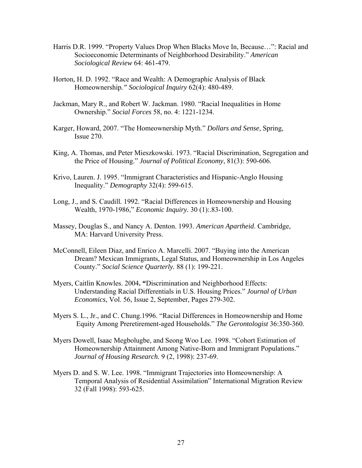- Harris D.R. 1999. "Property Values Drop When Blacks Move In, Because…": Racial and Socioeconomic Determinants of Neighborhood Desirability." *American Sociological Review* 64: 461-479.
- Horton*,* H. D. 1992. "Race and Wealth: A Demographic Analysis of Black Homeownership*." Sociological Inquiry* 62(4): 480-489.
- Jackman, Mary R., and Robert W. Jackman. 1980. "Racial Inequalities in Home Ownership." *Social Forces* 58, no. 4: 1221-1234.
- Karger, Howard, 2007. "The Homeownership Myth." *Dollars and Sense*, Spring, Issue 270.
- King, A. Thomas, and Peter Mieszkowski. 1973. "Racial Discrimination, Segregation and the Price of Housing." *Journal of Political Economy*, 81(3): 590-606.
- Krivo, Lauren. J. 1995. "Immigrant Characteristics and Hispanic-Anglo Housing Inequality." *Demography* 32(4): 599-615.
- Long, J., and S*.* Caudill*.* 1992. "Racial Differences in Homeownership and Housing Wealth, 1970-1986," *Economic Inquiry.* 30 (1):.83-100.
- Massey, Douglas S., and Nancy A. Denton. 1993. *American Apartheid*. Cambridge, MA: Harvard University Press.
- McConnell, Eileen Diaz, and Enrico A. Marcelli. 2007. "Buying into the American Dream? Mexican Immigrants, Legal Status, and Homeownership in Los Angeles County." *Social Science Quarterly.* 88 (1): 199-221.
- Myers, Caitlin Knowles. 2004**. "**Discrimination and Neighborhood Effects: Understanding Racial Differentials in U.S. Housing Prices." *Journal of Urban Economics*, Vol. 56, Issue 2, September, Pages 279-302.
- Myers S. L., Jr., and C. Chung.1996. "Racial Differences in Homeownership and Home Equity Among Preretirement-aged Households." *The Gerontologist* 36:350-360.
- Myers Dowell, Isaac Megbolugbe, and Seong Woo Lee. 1998. "Cohort Estimation of Homeownership Attainment Among Native-Born and Immigrant Populations." *Journal of Housing Research.* 9 (2, 1998): 237-69.
- Myers D. and S. W. Lee. 1998. "Immigrant Trajectories into Homeownership: A Temporal Analysis of Residential Assimilation" International Migration Review 32 (Fall 1998): 593-625.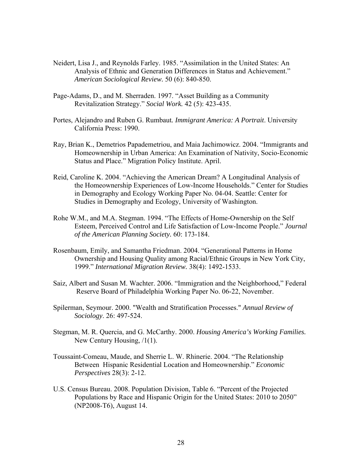- Neidert, Lisa J., and Reynolds Farley. 1985. "Assimilation in the United States: An Analysis of Ethnic and Generation Differences in Status and Achievement." *American Sociological Review.* 50 (6): 840-850.
- Page-Adams, D., and M. Sherraden. 1997. "Asset Building as a Community Revitalization Strategy." *Social Work.* 42 (5): 423-435.
- Portes, Alejandro and Ruben G. Rumbaut*. Immigrant America: A Portrait*. University California Press: 1990.
- Ray, Brian K., Demetrios Papademetriou, and Maia Jachimowicz. 2004. "Immigrants and Homeownership in Urban America: An Examination of Nativity, Socio-Economic Status and Place." Migration Policy Institute. April.
- Reid, Caroline K. 2004. "Achieving the American Dream? A Longitudinal Analysis of the Homeownership Experiences of Low-Income Households." Center for Studies in Demography and Ecology Working Paper No. 04-04. Seattle: Center for Studies in Demography and Ecology, University of Washington.
- Rohe W.M., and M.A. Stegman. 1994. "The Effects of Home-Ownership on the Self Esteem, Perceived Control and Life Satisfaction of Low-Income People." *Journal of the American Planning Society.* 60: 173-184.
- Rosenbaum, Emily, and Samantha Friedman. 2004. "Generational Patterns in Home Ownership and Housing Quality among Racial/Ethnic Groups in New York City, 1999." *International Migration Review.* 38(4): 1492-1533.
- Saiz, Albert and Susan M. Wachter. 2006. "Immigration and the Neighborhood," Federal Reserve Board of Philadelphia Working Paper No. 06-22, November.
- Spilerman, Seymour. 2000. "Wealth and Stratification Processes." *Annual Review of Sociology*. 26: 497-524.
- Stegman, M. R. Quercia, and G. McCarthy. 2000. *Housing America's Working Families.*  New Century Housing, /1(1).
- Toussaint-Comeau, Maude, and Sherrie L. W. Rhinerie. 2004. "The Relationship Between Hispanic Residential Location and Homeownership." *Economic Perspectives* 28(3): 2-12.
- U.S. Census Bureau. 2008. Population Division, Table 6. "Percent of the Projected Populations by Race and Hispanic Origin for the United States: 2010 to 2050" (NP2008-T6), August 14.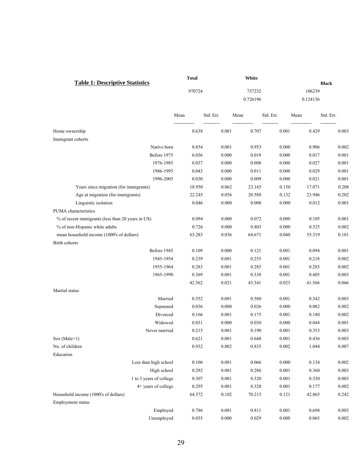|                                                   | Total  |           | White    |           |          |              |
|---------------------------------------------------|--------|-----------|----------|-----------|----------|--------------|
| <b>Table 1: Descriptive Statistics</b>            |        |           |          |           |          | <b>Black</b> |
|                                                   | 970724 |           | 737232   |           | 106239   |              |
|                                                   |        |           | 0.726196 |           | 0.124136 |              |
|                                                   | Mean   | Std. Err. | Mean     | Std. Err. | Mean     | Std. Err.    |
| Home ownership                                    | 0.638  | 0.001     | 0.707    | 0.001     | 0.429    | 0.003        |
| Immigrant cohorts                                 |        |           |          |           |          |              |
| Native born                                       | 0.854  | 0.001     | 0.953    | 0.000     | 0.906    | 0.002        |
| Before 1975                                       | 0.036  | 0.000     | 0.019    | 0.000     | 0.017    | 0.001        |
| 1976-1985                                         | 0.037  | 0.000     | 0.008    | 0.000     | 0.027    | 0.001        |
| 1986-1995                                         | 0.043  | 0.000     | 0.011    | 0.000     | 0.029    | 0.001        |
| 1996-2005                                         | 0.030  | 0.000     | 0.009    | 0.000     | 0.021    | 0.001        |
| Years since migration (for immigrants)            | 18.950 | 0.062     | 23.165   | 0.150     | 17.071   | 0.208        |
| Age at migration (for immigrants)                 | 22.245 | 0.056     | 20.588   | 0.132     | 23.946   | 0.202        |
| Linguistic isolation                              | 0.046  | 0.000     | 0.008    | 0.000     | 0.012    | 0.001        |
| PUMA characteristics                              |        |           |          |           |          |              |
| % of recent immigrants (less than 20 years in US) | 0.094  | 0.000     | 0.072    | 0.000     | 0.105    | 0.001        |
| % of non-Hispanic white adults                    | 0.726  | 0.000     | 0.803    | 0.000     | 0.525    | 0.002        |
| mean household income (1000's of dollars)         | 63.283 | 0.036     | 64.671   | 0.040     | 55.319   | 0.101        |
| Birth cohorts                                     |        |           |          |           |          |              |
| Before 1945                                       | 0.109  | 0.000     | 0.121    | 0.001     | 0.094    | 0.001        |
| 1945-1954                                         | 0.239  | 0.001     | 0.255    | 0.001     | 0.218    | 0.002        |
| 1955-1964                                         | 0.283  | 0.001     | 0.285    | 0.001     | 0.283    | 0.002        |
| 1965-1990                                         | 0.369  | 0.001     | 0.338    | 0.001     | 0.405    | 0.003        |
|                                                   | 42.562 | 0.021     | 43.341   | 0.023     | 41.566   | 0.066        |
| Marital status                                    |        |           |          |           |          |              |
| Married                                           | 0.552  | 0.001     | 0.580    | 0.001     | 0.342    | 0.003        |
| Separated                                         | 0.036  | 0.000     | 0.026    | 0.000     | 0.082    | 0.002        |
| Divorced                                          | 0.166  | 0.001     | 0.175    | 0.001     | 0.180    | 0.002        |
| Widowed                                           | 0.031  | 0.000     | 0.030    | 0.000     | 0.044    | 0.001        |
| Never married                                     | 0.215  | 0.001     | 0.190    | 0.001     | 0.353    | 0.003        |
| Sex (Male=1)                                      | 0.621  | $0.001\,$ | 0.648    | $0.001\,$ | 0.436    | 0.003        |
| No. of children                                   | 0.932  | 0.002     | 0.835    | 0.002     | 1.044    | 0.007        |
| Education                                         |        |           |          |           |          |              |
| Less than high school                             | 0.106  | 0.001     | 0.066    | 0.000     | 0.134    | 0.002        |
| High school                                       | 0.292  | 0.001     | 0.286    | 0.001     | 0.360    | 0.003        |
| 1 to 3 years of college                           | 0.307  | 0.001     | 0.320    | 0.001     | 0.330    | 0.003        |
| 4+ years of college                               | 0.295  | 0.001     | 0.328    | 0.001     | 0.177    | 0.002        |
| Household income (1000's of dollars)              | 64.572 | 0.102     | 70.215   | 0.121     | 42.865   | 0.242        |
| Employment status                                 |        |           |          |           |          |              |
| Employed                                          | 0.786  | 0.001     | 0.811    | 0.001     | 0.694    | 0.003        |
| Unemployed                                        | 0.035  | 0.000     | 0.029    | 0.000     | 0.065    | 0.002        |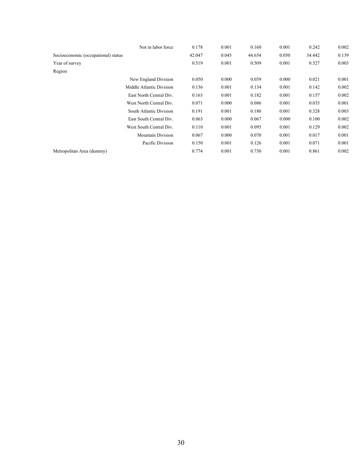|                                     | Not in labor force       | 0.178  | 0.001 | 0.160  | 0.001 | 0.242  | 0.002 |
|-------------------------------------|--------------------------|--------|-------|--------|-------|--------|-------|
| Socioeconomic (occupational) status |                          | 42.047 | 0.045 | 44.654 | 0.050 | 34.442 | 0.139 |
| Year of survey                      |                          | 0.519  | 0.001 | 0.509  | 0.001 | 0.527  | 0.003 |
| Region                              |                          |        |       |        |       |        |       |
|                                     | New England Division     | 0.050  | 0.000 | 0.059  | 0.000 | 0.021  | 0.001 |
|                                     | Middle Atlantic Division | 0.136  | 0.001 | 0.134  | 0.001 | 0.142  | 0.002 |
|                                     | East North Central Div.  | 0.163  | 0.001 | 0.182  | 0.001 | 0.157  | 0.002 |
|                                     | West North Central Div.  | 0.071  | 0.000 | 0.086  | 0.001 | 0.035  | 0.001 |
|                                     | South Atlantic Division  | 0.191  | 0.001 | 0.180  | 0.001 | 0.328  | 0.003 |
|                                     | East South Central Div.  | 0.063  | 0.000 | 0.067  | 0.000 | 0.100  | 0.002 |
|                                     | West South Central Div.  | 0.110  | 0.001 | 0.095  | 0.001 | 0.129  | 0.002 |
|                                     | <b>Mountain Division</b> | 0.067  | 0.000 | 0.070  | 0.001 | 0.017  | 0.001 |
|                                     | Pacific Division         | 0.150  | 0.001 | 0.126  | 0.001 | 0.071  | 0.001 |
| Metropolitan Area (dummy)           |                          | 0.774  | 0.001 | 0.730  | 0.001 | 0.861  | 0.002 |
|                                     |                          |        |       |        |       |        |       |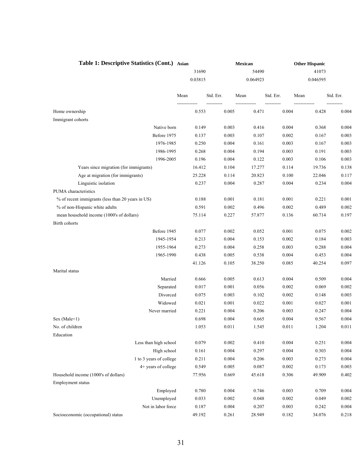| Table 1: Descriptive Statistics (Cont.) Asian     |         |           | Mexican  |           | <b>Other Hispanic</b> |           |
|---------------------------------------------------|---------|-----------|----------|-----------|-----------------------|-----------|
|                                                   | 31690   |           | 54490    |           | 41073                 |           |
|                                                   | 0.03815 |           | 0.064923 |           | 0.046595              |           |
|                                                   | Mean    | Std. Err. | Mean     | Std. Err. | Mean                  | Std. Err. |
| Home ownership                                    | 0.553   | 0.005     | 0.471    | 0.004     | 0.428                 | 0.004     |
| Immigrant cohorts                                 |         |           |          |           |                       |           |
| Native born                                       | 0.149   | 0.003     | 0.416    | 0.004     | 0.368                 | 0.004     |
| Before 1975                                       | 0.137   | 0.003     | 0.107    | 0.002     | 0.167                 | 0.003     |
| 1976-1985                                         | 0.250   | 0.004     | 0.161    | 0.003     | 0.167                 | 0.003     |
| 1986-1995                                         | 0.268   | 0.004     | 0.194    | 0.003     | 0.191                 | 0.003     |
| 1996-2005                                         | 0.196   | 0.004     | 0.122    | 0.003     | 0.106                 | 0.003     |
| Years since migration (for immigrants)            | 16.412  | 0.104     | 17.277   | 0.114     | 19.736                | 0.138     |
| Age at migration (for immigrants)                 | 25.228  | 0.114     | 20.823   | 0.100     | 22.046                | 0.117     |
| Linguistic isolation                              | 0.237   | 0.004     | 0.287    | 0.004     | 0.234                 | 0.004     |
| PUMA characteristics                              |         |           |          |           |                       |           |
| % of recent immigrants (less than 20 years in US) | 0.188   | 0.001     | 0.181    | 0.001     | 0.221                 | 0.001     |
| % of non-Hispanic white adults                    | 0.591   | 0.002     | 0.496    | 0.002     | 0.489                 | 0.002     |
| mean household income (1000's of dollars)         | 75.114  | 0.227     | 57.877   | 0.136     | 60.714                | 0.197     |
| Birth cohorts                                     |         |           |          |           |                       |           |
| Before 1945                                       | 0.077   | 0.002     | 0.052    | 0.001     | 0.075                 | 0.002     |
| 1945-1954                                         | 0.213   | 0.004     | 0.153    | 0.002     | 0.184                 | 0.003     |
| 1955-1964                                         | 0.273   | 0.004     | 0.258    | 0.003     | 0.288                 | 0.004     |
| 1965-1990                                         | 0.438   | 0.005     | 0.538    | 0.004     | 0.453                 | 0.004     |
|                                                   | 41.126  | 0.105     | 38.250   | 0.085     | 40.254                | 0.097     |
| Marital status                                    |         |           |          |           |                       |           |
| Married                                           | 0.666   | 0.005     | 0.613    | 0.004     | 0.509                 | 0.004     |
| Separated                                         | 0.017   | 0.001     | 0.056    | 0.002     | 0.069                 | 0.002     |
| Divorced                                          | 0.075   | 0.003     | 0.102    | 0.002     | 0.148                 | 0.003     |
| Widowed                                           | 0.021   | 0.001     | 0.022    | 0.001     | 0.027                 | 0.001     |
| Never married                                     | 0.221   | 0.004     | 0.206    | 0.003     | 0.247                 | 0.004     |
| $Sex (Male=1)$                                    | 0.698   | 0.004     | 0.665    | 0.004     | 0.567                 | 0.004     |
| No. of children                                   | 1.053   | 0.011     | 1.545    | 0.011     | 1.204                 | 0.011     |
| Education                                         |         |           |          |           |                       |           |
| Less than high school                             | 0.079   | 0.002     | 0.410    | 0.004     | 0.251                 | 0.004     |
| High school                                       | 0.161   | 0.004     | 0.297    | 0.004     | 0.303                 | 0.004     |
| 1 to 3 years of college                           | 0.211   | 0.004     | 0.206    | 0.003     | 0.273                 | 0.004     |
| 4+ years of college                               | 0.549   | 0.005     | 0.087    | 0.002     | 0.173                 | 0.003     |
| Household income (1000's of dollars)              | 77.956  | 0.669     | 45.618   | 0.306     | 49.909                | 0.402     |
| Employment status                                 |         |           |          |           |                       |           |
| Employed                                          | 0.780   | 0.004     | 0.746    | 0.003     | 0.709                 | 0.004     |
| Unemployed                                        | 0.033   | 0.002     | 0.048    | 0.002     | 0.049                 | 0.002     |
| Not in labor force                                | 0.187   | 0.004     | 0.207    | 0.003     | 0.242                 | 0.004     |
| Socioeconomic (occupational) status               | 49.192  | 0.261     | 28.949   | 0.182     | 34.076                | 0.218     |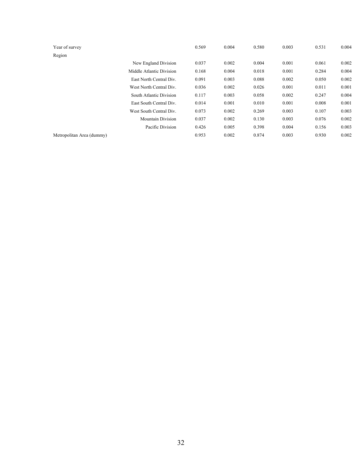| Year of survey            |                          | 0.569 | 0.004 | 0.580 | 0.003 | 0.531 | 0.004 |
|---------------------------|--------------------------|-------|-------|-------|-------|-------|-------|
| Region                    |                          |       |       |       |       |       |       |
|                           | New England Division     | 0.037 | 0.002 | 0.004 | 0.001 | 0.061 | 0.002 |
|                           | Middle Atlantic Division | 0.168 | 0.004 | 0.018 | 0.001 | 0.284 | 0.004 |
|                           | East North Central Div.  | 0.091 | 0.003 | 0.088 | 0.002 | 0.050 | 0.002 |
|                           | West North Central Div.  | 0.036 | 0.002 | 0.026 | 0.001 | 0.011 | 0.001 |
|                           | South Atlantic Division  | 0.117 | 0.003 | 0.058 | 0.002 | 0.247 | 0.004 |
|                           | East South Central Div.  | 0.014 | 0.001 | 0.010 | 0.001 | 0.008 | 0.001 |
|                           | West South Central Div.  | 0.073 | 0.002 | 0.269 | 0.003 | 0.107 | 0.003 |
|                           | <b>Mountain Division</b> | 0.037 | 0.002 | 0.130 | 0.003 | 0.076 | 0.002 |
|                           | Pacific Division         | 0.426 | 0.005 | 0.398 | 0.004 | 0.156 | 0.003 |
| Metropolitan Area (dummy) |                          | 0.953 | 0.002 | 0.874 | 0.003 | 0.930 | 0.002 |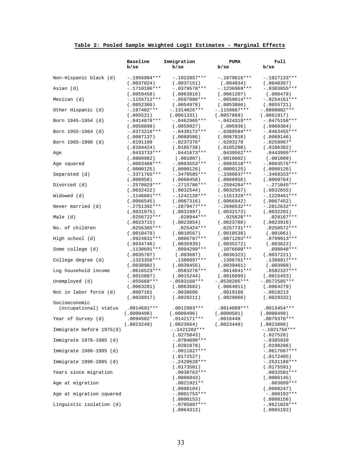## **Table 2: Pooled Sample Weighted Logit Estimates - Marginal Effects**

|                          | Baseline<br>b/sec           | Immigration<br>b/se         | <b>PUMA</b><br>b/se         | Full<br>b/sec               |
|--------------------------|-----------------------------|-----------------------------|-----------------------------|-----------------------------|
| Non-Hispanic black (d)   | $-1956994***$               | $-.1922857***$              | $-.1879616***$              | $-.1827133***$              |
|                          | (.0037024)                  | (.0037151)                  | (.004034)                   | (.0040367)                  |
| Asian (d)                | $-.1710196***$              | $-.0379578***$              | $-.1236969***$              | $-.0303855***$              |
|                          | (.0059458)                  | (.0063816)                  | (0.061207)                  | (.006479)                   |
| Mexican (d)              | $-.1155712***$              | $-.0507886***$              | $-.0659014***$              | $-.0254161***$              |
|                          | (.0052366)                  | (.0054978)                  | (.0053866)                  | (.0055721)                  |
| Other Hispanic (d)       | $-.197402***$               | -.1314026***                | $-1159667***$               | $-.0800802***$              |
|                          | (.005521)                   | (.0061331)                  | (.0057869)                  | (.0061917)                  |
| Born 1945-1954 (d)       | $-.0414878***$              | -.0462965***                | $-.0424319***$              | $-.0475158***$              |
|                          | (.0058898)                  | (.0059927)                  | (.005936)                   | (.0060304)                  |
| Born 1955-1964 (d)       | $-.0373216***$              | $-.0439172***$              | $-.0389584***$              | $-.0463455***$              |
|                          | (.0087137)                  | (.0088586)                  | (.0087818)                  | (.0089146)                  |
| Born 1965-1990 (d)       | $-.0191109$                 | $-.0237376*$                | $-.0203179$                 | $-.0258967*$                |
|                          | (.0104424)<br>$.0433733***$ | (.0105738)<br>$.0441673***$ | (.0105208)<br>$.0439562***$ | (.0106382)<br>.0443995***   |
| Age                      | (.0009982)                  | (.001007)                   | (.0010002)                  | (.001009)                   |
| Age squared              | $-.0003468***$              | $-.0003553***$              | $-.0003518***$              | $-.0003576***$              |
|                          | (.0000125)                  | (.0000126)                  | (.0000125)                  | (.0000126)                  |
| Separated (d)            | $-.3371765***$              | $-.3470585***$              | $-.3380837***$              | $-.3468333***$              |
|                          | (.006058)                   | (.0060458)                  | (.0060956)                  | (.0060764)                  |
| Divorced (d)             | $-.2578029***$              | $-.2715786***$              | $-.2594284***$              | $-.271045***$               |
|                          | (.0032422)                  | (.0032544)                  | (.0032567)                  | (.0032655)                  |
| Widowed (d)              | $-.1146881***$              | $-1242128***$               | $-.1151329***$              | $-1229461***$               |
|                          | (.0066545)                  | (.0067316)                  | (.0066942)                  | (.0067452)                  |
| Never married (d)        | $-.2751392***$              | -.2879477***                | $-.2698532***$              | $-.2812632***$              |
|                          | (.0031975)                  | (.0031997)                  | (.0032173)                  | (.0032201)                  |
| Male (d)                 | .0256722***                 | $.028944***$                | $.025628***$                | $.028167***$                |
|                          | (.0023715)                  | (.0023854)                  | (.0023788)                  | (.0023916)                  |
| No. of children          | .0256365***<br>(.0010479)   | $.025424***$<br>(.0010567)  | $.0257731***$<br>(.0010538) | .0250572***<br>(.001061)    |
| High school (d)          | .0924631***                 | .0806787***                 | .0871203***                 | .0799913***                 |
|                          | (.0034746)                  | (.0035939)                  | (.0035272)                  | (.003622)                   |
| Some college (d)         | .1130691***                 | .0994299***                 | .1076608 ***                | .098848 ***                 |
|                          | (.0035707)                  | (.003687)                   | (.0036323)                  | (.0037221)                  |
| College degree (d)       | .1323356***                 | .1300997***                 | .1306761***                 | .1308917***                 |
|                          | (.0038902)                  | (.0039455)                  | (.0039461)                  | (.003988)                   |
| Log household income     | $.0616523***$               | .0583276***                 | $.0614041***$               | .0582337***                 |
|                          | (.0015887)                  | (.0015244)                  | (.0016099)                  | (.0015453)                  |
| Unemployed (d)           | $-.055668***$               | $-.0593168***$              | $-.0538205***$              | $-.0572585***$              |
|                          | (.0063281)                  | (.0063682)                  | (.0064011)                  | (.0064279)                  |
| Not in labor force (d)   | .0007161                    | $-.0038606$                 | .0019166                    | $-.0018213$                 |
|                          | (.0028917)                  | (.0029211)                  | (.0029066)                  | (.0029332)                  |
| Socioeconomic            |                             |                             | .0014889***                 | $.0013454***$               |
| (occupational) status    | .0014691***<br>(0000498)    | .0012993***<br>(.0000496)   | (.0000501)                  | (0000499)                   |
| Year of Survey (d)       | $.0094502***$               | .0142171***                 | .0016448                    | .0079376***                 |
|                          | (.0023249)                  | (.0023664)                  | (.0023449)                  | (.0023808)                  |
| Immigrate before 1975(d) |                             | $-.1421202***$              |                             | $-.1021756***$              |
|                          |                             | (.0275843)                  |                             | (.027528)                   |
| Immigrate 1976-1985 (d)  |                             | $-.0704099***$              |                             | $-.0385939$                 |
|                          |                             | (.0201878)                  |                             | (.0198206)                  |
| Immigrate 1986-1995 (d)  |                             | $-.0811827***$              |                             | $-.0617667***$              |
|                          |                             | (.0172527)                  |                             | (.0172405)                  |
| Immigrate 1996-2005 (d)  |                             | $-.2429628***$              |                             | $-.2531186***$              |
|                          |                             | (.0173501)                  |                             | (.0175591)                  |
| Years since migration    |                             | $.0038763***$               |                             | $.0032501***$               |
|                          |                             | (.0006043)                  |                             | (.0006145)                  |
| Age at migration         |                             | $.0021921**$<br>(.0008104)  |                             | .003899***                  |
| Age at migration squared |                             | $-.0001753***$              |                             | (.0008247)<br>$-.000192***$ |
|                          |                             | (.0000153)                  |                             | (.0000156)                  |
| Linguistic isolation (d) |                             | $-.0705887***$              |                             | $-.0621826***$              |
|                          |                             | (.0064313)                  |                             | (.0065192)                  |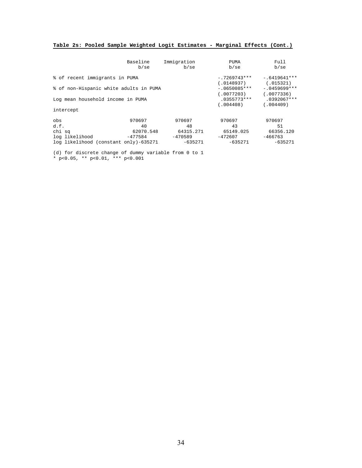#### **Table 2s: Pooled Sample Weighted Logit Estimates - Marginal Effects (Cont.)**

|                                        | Baseline<br>b/sec | Immigration<br>b/sec | PUMA<br>b/se                 | Full<br>b/sec                |
|----------------------------------------|-------------------|----------------------|------------------------------|------------------------------|
| % of recent immigrants in PUMA         |                   |                      | $-.7269743***$<br>(.0148937) | $-.6419641***$<br>(.015321)  |
| % of non-Hispanic white adults in PUMA |                   |                      | $-.0650085***$<br>(.0077203) | $-.0459699***$<br>(.0077336) |
| Log mean household income in PUMA      |                   |                      | $.0355773***$<br>(.004408)   | $.0392067***$<br>(0.04409)   |
| intercept                              |                   |                      |                              |                              |
| obs                                    | 970697            | 970697               | 970697                       | 970697                       |
| d.f.                                   | 40                | 48                   | 43                           | 51                           |
| chi sq                                 | 62070.548         | 64315.271            | 65149.025                    | 66356.120                    |
| log likelihood                         | -477584           | $-470589$            | $-472607$                    | $-466763$                    |
| log likelihood (constant only)-635271  |                   | -635271              | $-635271$                    | $-635271$                    |

(d) for discrete change of dummy variable from 0 to 1

\* p<0.05, \*\* p<0.01, \*\*\* p<0.001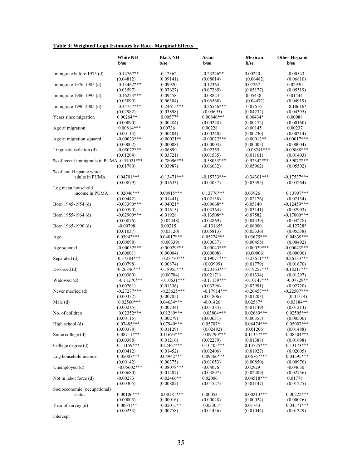## **Table 3: Weighted Logit Estimates by Race- Marginal Effects**

|                                            | <b>White NH</b><br>b/se    | <b>Black NH</b><br>b/se    | Asian<br>b/se              | Mexican<br>b/se             | <b>Other Hispanic</b><br>b/se |
|--------------------------------------------|----------------------------|----------------------------|----------------------------|-----------------------------|-------------------------------|
|                                            |                            |                            |                            |                             |                               |
| Immigrate before 1975 (d)                  | $-0.14767**$               | $-0.12362$                 | $-0.23246**$               | 0.00220                     | $-0.00543$                    |
|                                            | (0.04812)                  | (0.09141)                  | (0.08014)                  | (0.06482)                   | (0.06810)                     |
| Immigrate 1976-1985 (d)                    | $-0.13462***$              | $-0.09920$                 | $-0.12364$                 | 0.07267                     | 0.02930                       |
|                                            | (0.03597)                  | (0.07627)                  | (0.07285)                  | (0.05177)                   | (0.05519)                     |
| Immigrate 1986-1995 (d)                    | $-0.16223***$              | $-0.09458$                 | $-0.08823$                 | 0.05438                     | 0.01444                       |
|                                            | (0.03099)                  | (0.06304)                  | (0.06568)                  | (0.04472)                   | (0.04919)                     |
| Immigrate 1996-2005 (d)                    | $-0.34757***$              | $-0.24615***$              | $-0.26546***$              | $-0.07616$                  | $-0.10616*$<br>(0.04395)      |
| Years since migration                      | (0.02982)<br>$0.00264**$   | (0.03898)<br>$0.00577*$    | (0.05695)<br>$0.00846***$  | (0.04232)<br>$0.00434*$     | 0.00088                       |
|                                            | (0.00090)                  | (0.00284)                  | (0.00248)                  | (0.00172)                   | (0.00160)                     |
| Age at migration                           | $0.00814***$               | 0.00736                    | 0.00228                    | $-0.00145$                  | 0.00237                       |
|                                            | (0.00113)                  | (0.00404)                  | (0.00240)                  | (0.00230)                   | (0.00214)                     |
| Age at migration squared                   | $-0.00023***$              | $-0.00021**$               | $-0.00022***$              | $-0.00012**$                | $-0.00017***$                 |
|                                            | (0.00002)                  | (0.00008)                  | (0.00004)                  | (0.00005)                   | (0.00004)                     |
| Linguistic isolation (d)                   | $-0.05072***$              | $-0.06899$                 | $-0.02355$                 | $-0.08241***$               | $-0.09888***$                 |
|                                            | (0.01204)                  | (0.03721)                  | (0.01535)                  | (0.01161)                   | (0.01403)                     |
| % of recent immigrants in PUMA -0.51021*** |                            | $-0.78096***$              | $-0.58053***$              | $-0.92342***$               | $-0.59077***$                 |
|                                            | (0.01780)                  | (0.03987)                  | (0.06632)                  | (0.05962)                   | (0.05502)                     |
| % of non-Hispanic white<br>adults in PUMA  | $0.04701***$               | $-0.13471***$              | $-0.15733***$              | $-0.34301***$               | $-0.17537***$                 |
|                                            | (0.00879)                  | (0.01633)                  | (0.04037)                  |                             | (0.03264)                     |
| Log mean household                         |                            |                            |                            | (0.03395)                   |                               |
| income in PUMA                             | $0.02046***$               | 0.08915***                 | $0.13776***$               | 0.03926                     | $0.13907***$                  |
|                                            | (0.00442)                  | (0.01441)                  | (0.02138)                  | (0.02176)                   | (0.02134)                     |
| Born 1945-1954 (d)                         | $-0.03390***$              | $-0.04021*$                | $-0.09668**$               | $-0.05140$                  | $-0.12459***$                 |
|                                            | (0.00590)                  | (0.01615)                  | (0.03364)                  | (0.03141)                   | (0.02903)                     |
| Born 1955-1964 (d)                         | $-0.02900$ ***             | $-0.01928$                 | $-0.13508**$               | $-0.07582$                  | $-0.17000$ ***                |
|                                            | (0.00876)                  | (0.02448)                  | (0.04869)                  | (0.04439)                   | (0.04278)                     |
| Born 1965-1990 (d)                         | $-0.00798$                 | 0.00215                    | $-0.13165*$                | $-0.08900$                  | $-0.12728*$                   |
|                                            | (0.01037)                  | (0.03120)                  | (0.05813)                  | (0.05336)                   | (0.05538)                     |
| Age                                        | $0.03942***$               | $0.04017***$               | $0.05274***$               | $0.03675***$                | 0.04839***                    |
|                                            | (0.00098)                  | (0.00339)<br>$-0.00029***$ | (0.00637)                  | (0.00455)<br>$-0.00029$ *** | (0.00492)<br>$-0.00043***$    |
| Age squared                                | $-0.00032***$<br>(0.00001) | (0.00004)                  | $-0.00043***$<br>(0.00008) |                             |                               |
| Separated (d)                              | $-0.37384***$              | $-0.23770***$              | $-0.19071***$              | (0.00006)<br>$-0.23611***$  | (0.00006)<br>$-0.26133***$    |
|                                            | (0.00798)                  | (0.00874)                  | (0.03999)                  | (0.01779)                   | (0.01670)                     |
| Divorced (d)                               | $-0.26846***$              | $-0.18955***$              | $-0.20163***$              | $-0.19257***$               | $-0.18211***$                 |
|                                            | (0.00360)                  | (0.00784)                  | (0.02171)                  | (0.01334)                   | (0.01297)                     |
| Widowed (d)                                | $-0.11270***$              | $-0.10631***$              | $-0.11139***$              | $-0.10147***$               | $-0.07729**$                  |
|                                            | (0.00761)                  | (0.01336)                  | (0.03296)                  | (0.02991)                   | (0.02720)                     |
| Never married (d)                          | $-0.27277***$              | $-0.23625***$              | $-0.17914***$              | $-0.20457***$               | $-0.22507***$                 |
|                                            | (0.00372)                  | (0.00785)                  | (0.01806)                  | (0.01203)                   | (0.01314)                     |
| Male $(d)$                                 | $0.02560***$               | $0.04634***$               | $-0.01426$                 | $0.02587*$                  | 0.03184**                     |
|                                            | (0.00235)                  | (0.00734)                  | (0.01383)                  | (0.01149)                   | (0.01213)                     |
| No. of children                            | $0.02352***$<br>(0.00115)  | $0.01289***$<br>(0.00279)  | $0.03804***$<br>(0.00631)  | $0.02689***$<br>(0.00355)   | $0.02505***$<br>(0.00506)     |
| High school (d)                            | 0.07485***                 | $0.07940***$               | $0.05707*$                 | $0.06474***$                | $0.05007***$                  |
|                                            | (0.00378)                  | (0.01129)                  | (0.02482)                  | (0.01206)                   | (0.01488)                     |
| Some college (d)                           | $0.08711***$               | $0.11693***$               | $0.09790***$               | $0.11357***$                | $0.08504***$                  |
|                                            | (0.00388)                  | (0.01216)                  | (0.02279)                  | (0.01388)                   | (0.01698)                     |
| College degree (d)                         | $0.11159***$               | $0.22467***$               | $0.10405***$               | $0.13725***$                | $0.13173***$                  |
|                                            | (0.00412)                  | (0.01452)                  | (0.02406)                  | (0.01927)                   | (0.02005)                     |
| Log household income                       | $0.05007***$               | $0.04942***$               | $0.09566***$               | $0.06767***$                | $0.04595***$                  |
|                                            | (0.00142)                  | (0.00375)                  | (0.01053)                  | (0.00850)                   | (0.00976)                     |
| Unemployed (d)                             | $-0.05602***$              | $-0.08078***$              | $-0.04076$                 | 0.02929                     | $-0.04630$                    |
|                                            | (0.00680)                  | (0.01407)                  | (0.03897)                  | (0.02409)                   | (0.02756)                     |
| Not in labor force (d)                     | $-0.00273$<br>(0.00305)    | $-0.02466**$<br>(0.00807)  | 0.02006<br>(0.01527)       | $0.04518***$<br>(0.01147)   | 0.01778<br>(0.01275)          |
| Socioeconomic (occupational)               |                            |                            |                            |                             |                               |
| status                                     | $0.00106***$               | $0.00181***$               | 0.00053                    | $0.00213***$                | $0.00222***$                  |
|                                            | (0.00005)                  | (0.00016)                  | (0.00028)                  | (0.00024)                   | (0.00026)                     |
| Year of survey (d)                         | $0.00641**$                | $-0.02015**$               | $0.03305*$                 | 0.01743                     | $0.04571***$                  |
|                                            | (0.00233)                  | (0.00758)                  | (0.01456)                  | (0.01044)                   | (0.01329)                     |
| intercept                                  |                            |                            |                            |                             |                               |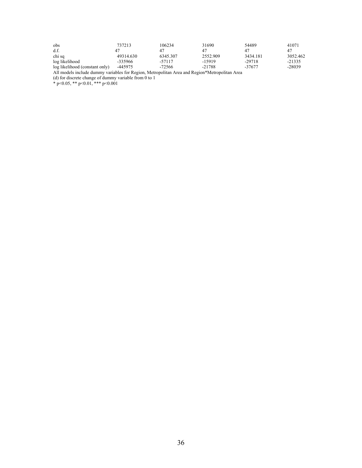| obs                            | 737213    | 106234   | 31690    | 54489    | 41071    |
|--------------------------------|-----------|----------|----------|----------|----------|
| d.f.                           |           | 47       | 47       | 47       | 47       |
| chi sq                         | 49314.630 | 6345.307 | 2552.909 | 3434.181 | 3052.462 |
| log likelihood                 | -335966   | -57117   | $-15919$ | $-29718$ | $-21335$ |
| log likelihood (constant only) | -445975   | -72566   | $-21788$ | -37677   | $-28039$ |

All models include dummy variables for Region, Metropolitan Area and Region\*Metropolitan Area

(d) for discrete change of dummy variable from 0 to 1

\* p<0.05, \*\* p<0.01, \*\*\* p<0.001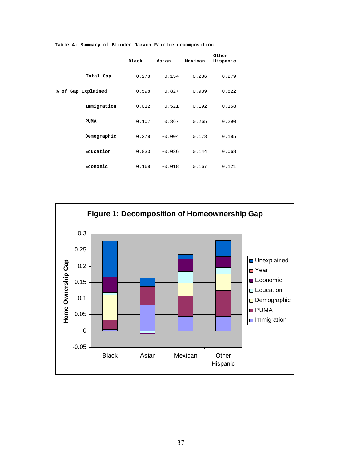|                    | Black | Asian    | Mexican | Other<br>Hispanic |
|--------------------|-------|----------|---------|-------------------|
| Total Gap          | 0.278 | 0.154    | 0.236   | 0.279             |
| % of Gap Explained | 0.598 | 0.827    | 0.939   | 0.822             |
| Immigration        | 0.012 | 0.521    | 0.192   | 0.158             |
| <b>PUMA</b>        | 0.107 | 0.367    | 0.265   | 0.290             |
| Demographic        | 0.278 | $-0.004$ | 0.173   | 0.185             |
| Education          | 0.033 | $-0.036$ | 0.144   | 0.068             |
| Economic           | 0.168 | $-0.018$ | 0.167   | 0.121             |

**Table 4: Summary of Blinder-Oaxaca-Fairlie decomposition** 

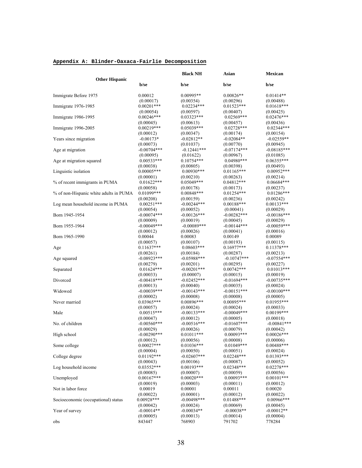#### **Appendix A: Blinder-Oaxaca-Fairlie Decomposition**

| <b>Other Hispanic</b>                  |                             | <b>Black NH</b>             | Asian                      | Mexican                    |
|----------------------------------------|-----------------------------|-----------------------------|----------------------------|----------------------------|
|                                        | b/se                        | b/se                        | b/se                       | b/se                       |
| Immigrate Before 1975                  | 0.00012                     | $0.00995**$                 | $0.00826**$                | $0.01414**$                |
| Immigrate 1976-1985                    | (0.00017)<br>$0.00201***$   | (0.00354)<br>$0.02234***$   | (0.00296)<br>$0.01523***$  | (0.00488)<br>$0.01618***$  |
|                                        | (0.00054)                   | (0.00597)                   | (0.00407)                  | (0.00425)                  |
| Immigrate 1986-1995                    | $0.00246***$<br>(0.00045)   | $0.03323***$<br>(0.00613)   | $0.02569***$<br>(0.00457)  | $0.02476***$<br>(0.00436)  |
| Immigrate 1996-2005                    | $0.00219***$                | 0.05039***                  | $0.02728***$               | $0.02344***$               |
|                                        | (0.00012)                   | (0.00347)                   | (0.00174)                  | (0.00154)                  |
| Years since migration                  | $-0.00173*$                 | $-0.02812**$                | $-0.02084**$               | $-0.02559**$               |
|                                        | (0.00073)<br>$-0.00704***$  | (0.01037)<br>$-0.12441***$  | (0.00770)<br>$-0.07174***$ | (0.00945)<br>$-0.08185***$ |
| Age at migration                       | (0.00095)                   | (0.01622)                   | (0.00967)                  | (0.01085)                  |
| Age at migration squared               | $0.00533***$                | $0.10754***$                | $0.04980**$                | $0.06355***$               |
|                                        | (0.00038)                   | (0.00805)                   | (0.00398)                  | (0.00493)                  |
| Linguistic isolation                   | $0.00005***$                | $0.00930***$                | $0.01165***$               | $0.00952***$               |
| % of recent immigrants in PUMA         | (0.00001)<br>$0.01622***$   | (0.00210)<br>$0.05049***$   | (0.00263)<br>$0.04812***$  | (0.00214)<br>$0.06684***$  |
|                                        | (0.00058)                   | (0.00178)                   | (0.00173)                  | (0.00237)                  |
| % of non-Hispanic white adults in PUMA | $0.01099***$                | $0.00848***$                | $0.01254***$               | $0.01286***$               |
|                                        | (0.00208)                   | (0.00159)                   | (0.00236)                  | (0.00242)                  |
| Log mean household income in PUMA      | $0.00251***$<br>(0.00054)   | $-0.00244***$               | $0.00188***$               | $0.00133***$               |
| Born 1945-1954                         | $-0.00074***$               | (0.00052)<br>$-0.00126$ *** | (0.00041)<br>$-0.00282***$ | (0.00029)<br>$-0.00186***$ |
|                                        | (0.00009)                   | (0.00019)                   | (0.00045)                  | (0.00029)                  |
| Born 1955-1964                         | $-0.00049$ ***              | $-0.00089***$               | $-0.00144***$              | $-0.00059***$              |
|                                        | (0.00012)                   | (0.00026)                   | (0.00041)                  | (0.00016)                  |
| Born 1965-1990                         | 0.00044                     | 0.00083                     | 0.00149                    | 0.00089                    |
| Age                                    | (0.00057)<br>$0.11637***$   | (0.00107)<br>$0.08603$ ***  | (0.00193)<br>$0.16977***$  | (0.00115)<br>$0.11378***$  |
|                                        | (0.00261)                   | (0.00184)                   | (0.00287)                  | (0.00213)                  |
| Age squared                            | $-0.08923***$               | $-0.05988***$               | $-0.10747***$              | $-0.07554***$              |
|                                        | (0.00279)                   | (0.00201)                   | (0.00295)                  | (0.00227)                  |
| Separated                              | $0.01624***$<br>(0.00033)   | $-0.00201$ ***<br>(0.00007) | $0.00742***$<br>(0.00015)  | $0.01013***$<br>(0.00019)  |
| Divorced                               | $-0.00418***$               | $-0.02452***$               | $-0.01694***$              | $-0.00735***$              |
|                                        | (0.00013)                   | (0.00040)                   | (0.00035)                  | (0.00024)                  |
| Widowed                                | $-0.00039***$               | $-0.00143***$               | $-0.00151***$              | $-0.00100***$              |
|                                        | (0.00002)                   | (0.00008)                   | (0.00008)                  | (0.00005)                  |
| Never married                          | $0.03965***$<br>(0.00057)   | $0.00896***$<br>(0.00024)   | $0.00895***$<br>(0.00024)  | $0.01955***$<br>(0.00033)  |
| Male                                   | $0.00515***$                | $-0.00133***$               | $-0.00049$ ***             | 0.00199***                 |
|                                        | (0.00047)                   | (0.00012)                   | (0.00005)                  | (0.00018)                  |
| No. of children                        | $-0.00560***$               | $-0.00516***$               | $-0.01607***$              | $-0.00841***$              |
|                                        | (0.00029)                   | (0.00026)                   | (0.00079)<br>$0.00093***$  | (0.00042)                  |
| High school                            | $-0.00290$ ***<br>(0.00012) | $0.01011***$<br>(0.00056)   | (0.00008)                  | $0.00026***$<br>(0.00006)  |
| Some college                           | $0.00027***$                | $0.01036***$                | $0.01049***$               | $0.00488***$               |
|                                        | (0.00004)                   | (0.00050)                   | (0.00051)                  | (0.00024)                  |
| College degree                         | $0.01192***$                | $-0.02607***$               | $0.02248***$               | $0.01393***$               |
| Log household income                   | (0.00043)<br>$0.03552***$   | (0.00106)<br>$0.00193***$   | (0.00087)<br>0.02348***    | (0.00052)<br>$0.02278***$  |
|                                        | (0.00085)                   | (0.00007)                   | (0.00059)                  | (0.00056)                  |
| Unemployed                             | $0.00167***$                | $0.00020***$                | $0.00093***$               | $0.00101***$               |
|                                        | (0.00019)                   | (0.00003)                   | (0.00011)                  | (0.00012)                  |
| Not in labor force                     | 0.00019                     | 0.00001                     | 0.00011                    | 0.00020                    |
|                                        | (0.00022)<br>0.00928***     | (0.00001)<br>$-0.00498***$  | (0.00012)<br>$0.01488***$  | (0.00022)<br>$0.00966$ *** |
| Socioeconomic (occupational) status    | (0.00042)                   | (0.00024)                   | (0.00069)                  | (0.00045)                  |
| Year of survey                         | $-0.00014**$                | $-0.00034**$                | $-0.00038**$               | $-0.00012**$               |
|                                        | (0.00005)                   | (0.00013)                   | (0.00014)                  | (0.00004)                  |
| obs                                    | 843447                      | 768903                      | 791702                     | 778284                     |